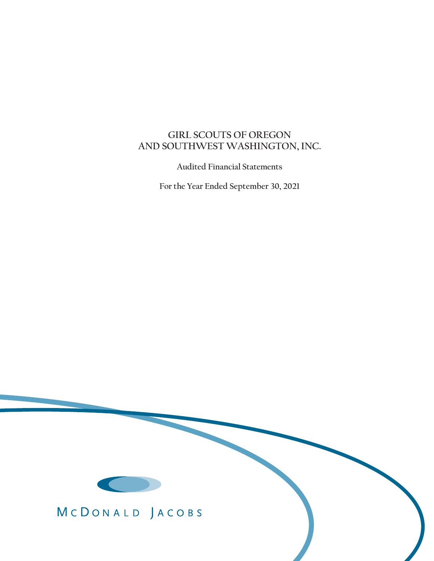# **GIRL SCOUTS OF OREGON AND SOUTHWEST WASHINGTON, INC.**

**Audited Financial Statements**

**For the Year Ended September 30, 2021**



MCDONALD JACOBS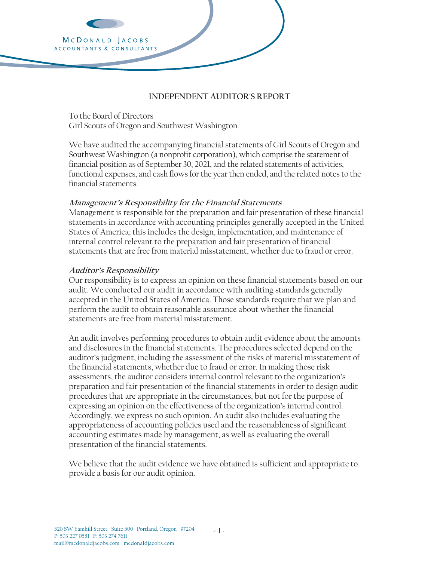

#### **INDEPENDENT AUDITOR'S REPORT**

To the Board of Directors Girl Scouts of Oregon and Southwest Washington

We have audited the accompanying financial statements of Girl Scouts of Oregon and Southwest Washington (a nonprofit corporation), which comprise the statement of financial position as of September 30, 2021, and the related statements of activities, functional expenses, and cash flows for the year then ended, and the related notes to the financial statements.

#### **Management's Responsibility for the Financial Statements**

Management is responsible for the preparation and fair presentation of these financial statements in accordance with accounting principles generally accepted in the United States of America; this includes the design, implementation, and maintenance of internal control relevant to the preparation and fair presentation of financial statements that are free from material misstatement, whether due to fraud or error.

#### **Auditor's Responsibility**

audit. We conducted our audit in accordance with auditing standards generally<br>accepted in the United States of America. Those standards require that we plan and Our responsibility is to express an opinion on these financial statements based on our audit. We conducted our audit in accordance with auditing standards generally perform the audit to obtain reasonable assurance about whether the financial statements are free from material misstatement.

An audit involves performing procedures to obtain audit evidence about the amounts and disclosures in the financial statements. The procedures selected depend on the auditor's judgment, including the assessment of the risks of material misstatement of the financial statements, whether due to fraud or error. In making those risk assessments, the auditor considers internal control relevant to the organization's preparation and fair presentation of the financial statements in order to design audit procedures that are appropriate in the circumstances, but not for the purpose of expressing an opinion on the effectiveness of the organization's internal control. Accordingly, we express no such opinion. An audit also includes evaluating the appropriateness of accounting policies used and the reasonableness of significant accounting estimates made by management, as well as evaluating the overall presentation of the financial statements.

We believe that the audit evidence we have obtained is sufficient and appropriate to provide a basis for our audit opinion.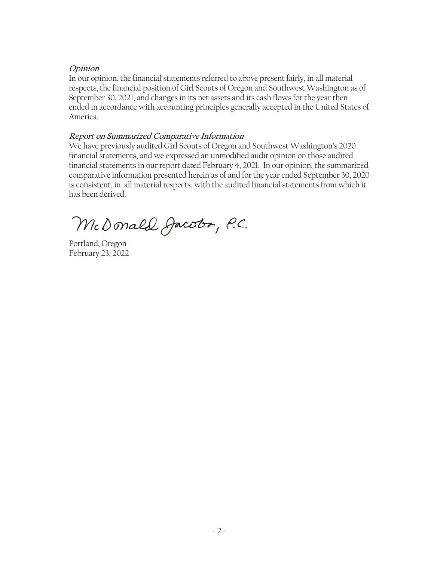# **Opinion**

In our opinion, the financial statements referred to above present fairly, in all material respects, the financial position of Girl Scouts of Oregon and Southwest Washington as of September 30, 2021, and changes in its net assets and its cash flows for the year then ended in accordance with accounting principles generally accepted in the United States of America.

# **Report on Summarized Comparative Information**

We have previously audited Girl Scouts of Oregon and Southwest Washington's 2020 financial statements, and we expressed an unmodified audit opinion on those audited financial statements in our report dated February 4, 2021. In our opinion, the summarized comparative information presented herein as of and for the year ended September 30, 2020 is consistent, in all material respects, with the audited financial statements from which it has been derived.

McDonald Jacobs, P.C.

Portland, Oregon February 23, 2022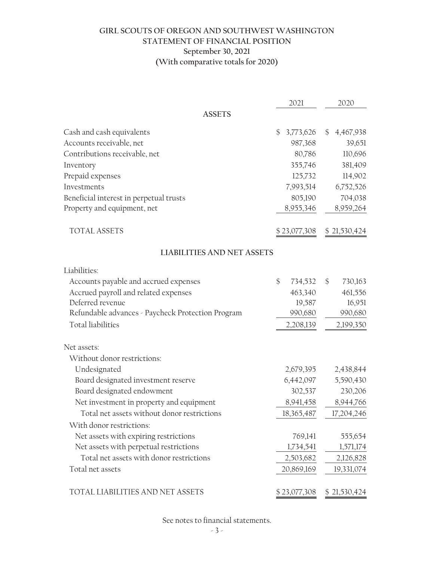# **GIRL SCOUTS OF OREGON AND SOUTHWEST WASHINGTON STATEMENT OF FINANCIAL POSITION September 30, 2021 (With comparative totals for 2020)**

|                                                   | 2021            | 2020                       |
|---------------------------------------------------|-----------------|----------------------------|
| <b>ASSETS</b>                                     |                 |                            |
| Cash and cash equivalents                         | 3,773,626<br>\$ | 4,467,938<br>$\mathcal{S}$ |
| Accounts receivable, net                          | 987,368         | 39,651                     |
| Contributions receivable, net                     | 80,786          | 110,696                    |
| Inventory                                         | 355,746         | 381,409                    |
| Prepaid expenses                                  | 125,732         | 114,902                    |
| Investments                                       | 7,993,514       | 6,752,526                  |
| Beneficial interest in perpetual trusts           | 805,190         | 704,038                    |
| Property and equipment, net                       | 8,955,346       | 8,959,264                  |
| <b>TOTAL ASSETS</b>                               | \$23,077,308    | \$21,530,424               |
| <b>LIABILITIES AND NET ASSETS</b>                 |                 |                            |
| Liabilities:                                      |                 |                            |
| Accounts payable and accrued expenses             | \$<br>734,532   | \$<br>730,163              |
| Accrued payroll and related expenses              | 463,340         | 461,556                    |
| Deferred revenue                                  | 19,587          | 16,951                     |
| Refundable advances - Paycheck Protection Program | 990,680         | 990,680                    |
| <b>Total liabilities</b>                          | 2,208,139       | 2,199,350                  |
| Net assets:                                       |                 |                            |
| Without donor restrictions:                       |                 |                            |
| Undesignated                                      | 2,679,395       | 2,438,844                  |
| Board designated investment reserve               | 6,442,097       | 5,590,430                  |
| Board designated endowment                        | 302,537         | 230,206                    |
| Net investment in property and equipment          | 8,941,458       | 8,944,766                  |
| Total net assets without donor restrictions       | 18,365,487      | 17,204,246                 |
| With donor restrictions:                          |                 |                            |
| Net assets with expiring restrictions             | 769,141         | 555,654                    |
| Net assets with perpetual restrictions            | 1,734,541       | 1,571,174                  |
| Total net assets with donor restrictions          | 2,503,682       | 2,126,828                  |
| Total net assets                                  | 20,869,169      | 19,331,074                 |
| TOTAL LIABILITIES AND NET ASSETS                  | \$23,077,308    | \$21,530,424               |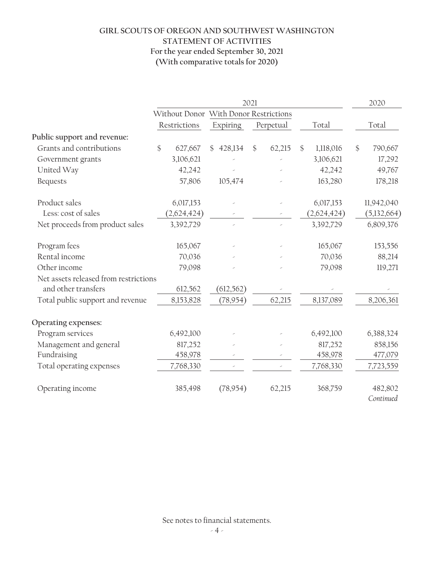# **GIRL SCOUTS OF OREGON AND SOUTHWEST WASHINGTON STATEMENT OF ACTIVITIES For the year ended September 30, 2021 (With comparative totals for 2020)**

| 2021                                  |               |              |                                       |       |           | 2020          |             |       |             |
|---------------------------------------|---------------|--------------|---------------------------------------|-------|-----------|---------------|-------------|-------|-------------|
|                                       |               |              | Without Donor With Donor Restrictions |       |           |               |             |       |             |
|                                       |               | Restrictions | Expiring                              |       | Perpetual |               | Total       |       | Total       |
| Public support and revenue:           |               |              |                                       |       |           |               |             |       |             |
| Grants and contributions              | $\mathcal{S}$ | 627,667      | 428,134<br>$\mathcal{S}$              | $\$\$ | 62,215    | $\mathcal{S}$ | 1,118,016   | $\$\$ | 790,667     |
| Government grants                     |               | 3,106,621    |                                       |       |           |               | 3,106,621   |       | 17,292      |
| United Way                            |               | 42,242       |                                       |       |           |               | 42,242      |       | 49,767      |
| Bequests                              |               | 57,806       | 105,474                               |       |           |               | 163,280     |       | 178,218     |
| Product sales                         |               | 6,017,153    |                                       |       |           |               | 6,017,153   |       | 11,942,040  |
| Less: cost of sales                   |               | (2,624,424)  |                                       |       |           |               | (2,624,424) |       | (5,132,664) |
| Net proceeds from product sales       |               | 3,392,729    |                                       |       |           |               | 3,392,729   |       | 6,809,376   |
| Program fees                          |               | 165,067      |                                       |       |           |               | 165,067     |       | 153,556     |
| Rental income                         |               | 70,036       |                                       |       |           |               | 70,036      |       | 88,214      |
| Other income                          |               | 79,098       |                                       |       |           |               | 79,098      |       | 119,271     |
| Net assets released from restrictions |               |              |                                       |       |           |               |             |       |             |
| and other transfers                   |               | 612,562      | (612, 562)                            |       |           |               |             |       |             |
| Total public support and revenue      |               | 8,153,828    | (78, 954)                             |       | 62,215    |               | 8,137,089   |       | 8,206,361   |
| Operating expenses:                   |               |              |                                       |       |           |               |             |       |             |
| Program services                      |               | 6,492,100    |                                       |       |           |               | 6,492,100   |       | 6,388,324   |
| Management and general                |               | 817,252      |                                       |       |           |               | 817,252     |       | 858,156     |
| Fundraising                           |               | 458,978      |                                       |       |           |               | 458,978     |       | 477,079     |
| Total operating expenses              |               | 7,768,330    |                                       |       |           |               | 7,768,330   |       | 7,723,559   |
| Operating income                      |               | 385,498      | (78,954)                              |       | 62,215    |               | 368,759     |       | 482,802     |
|                                       |               |              |                                       |       |           |               |             |       | Continued   |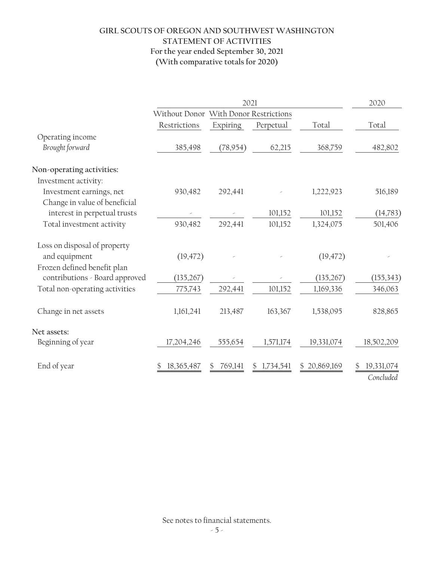# **GIRL SCOUTS OF OREGON AND SOUTHWEST WASHINGTON STATEMENT OF ACTIVITIES For the year ended September 30, 2021 (With comparative totals for 2020)**

| 2021                           |                                       |           |           |            |                         |
|--------------------------------|---------------------------------------|-----------|-----------|------------|-------------------------|
|                                | Without Donor With Donor Restrictions |           |           |            |                         |
|                                | Restrictions                          | Expiring  | Perpetual | Total      | Total                   |
| Operating income               |                                       |           |           |            |                         |
| Brought forward                | 385,498                               | (78, 954) | 62,215    | 368,759    | 482,802                 |
| Non-operating activities:      |                                       |           |           |            |                         |
| Investment activity:           |                                       |           |           |            |                         |
| Investment earnings, net       | 930,482                               | 292,441   |           | 1,222,923  | 516,189                 |
| Change in value of beneficial  |                                       |           |           |            |                         |
| interest in perpetual trusts   |                                       |           | 101,152   | 101,152    | (14,783)                |
| Total investment activity      | 930,482                               | 292,441   | 101,152   | 1,324,075  | 501,406                 |
| Loss on disposal of property   |                                       |           |           |            |                         |
| and equipment                  | (19, 472)                             |           |           | (19, 472)  |                         |
| Frozen defined benefit plan    |                                       |           |           |            |                         |
| contributions - Board approved | (135, 267)                            |           |           | (135, 267) | (155, 343)              |
| Total non-operating activities | 775,743                               | 292,441   | 101,152   | 1,169,336  | 346,063                 |
| Change in net assets           | 1,161,241                             | 213,487   | 163,367   | 1,538,095  | 828,865                 |
| Net assets:                    |                                       |           |           |            |                         |
| Beginning of year              | 17,204,246                            | 555,654   | 1,571,174 | 19,331,074 | 18,502,209              |
| End of year                    | 18,365,487                            | 769,141   | 1,734,541 | 20,869,169 | 19,331,074<br>Concluded |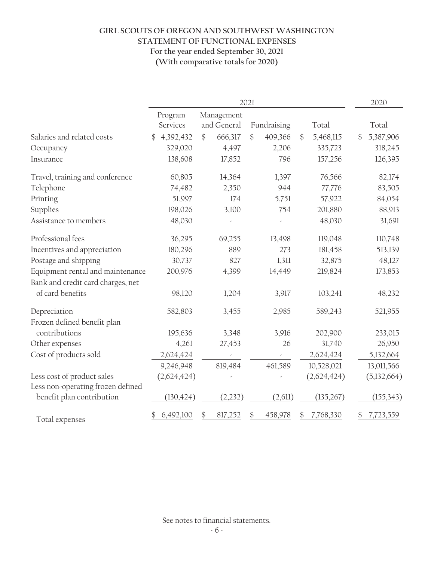# **GIRL SCOUTS OF OREGON AND SOUTHWEST WASHINGTON STATEMENT OF FUNCTIONAL EXPENSES For the year ended September 30, 2021 (With comparative totals for 2020)**

|                                   | 2021                       |                          |                          |                            |                            |
|-----------------------------------|----------------------------|--------------------------|--------------------------|----------------------------|----------------------------|
|                                   | Program                    | Management               |                          |                            |                            |
|                                   | Services                   | and General              | Fundraising              | Total                      | Total                      |
| Salaries and related costs        | 4,392,432<br>$\mathcal{S}$ | $\mathcal{S}$<br>666,317 | $\mathcal{S}$<br>409,366 | $\mathcal{S}$<br>5,468,115 | $\mathcal{S}$<br>5,387,906 |
| Occupancy                         | 329,020                    | 4,497                    | 2,206                    | 335,723                    | 318,245                    |
| Insurance                         | 138,608                    | 17,852                   | 796                      | 157,256                    | 126,395                    |
| Travel, training and conference   | 60,805                     | 14,364                   | 1,397                    | 76,566                     | 82,174                     |
| Telephone                         | 74,482                     | 2,350                    | 944                      | 77,776                     | 83,505                     |
| Printing                          | 51,997                     | 174                      | 5,751                    | 57,922                     | 84,054                     |
| Supplies                          | 198,026                    | 3,100                    | 754                      | 201,880                    | 88,913                     |
| Assistance to members             | 48,030                     |                          |                          | 48,030                     | 31,691                     |
| Professional fees                 | 36,295                     | 69,255                   | 13,498                   | 119,048                    | 110,748                    |
| Incentives and appreciation       | 180,296                    | 889                      | 273                      | 181,458                    | 513,139                    |
| Postage and shipping              | 30,737                     | 827                      | 1,311                    | 32,875                     | 48,127                     |
| Equipment rental and maintenance  | 200,976                    | 4,399                    | 14,449                   | 219,824                    | 173,853                    |
| Bank and credit card charges, net |                            |                          |                          |                            |                            |
| of card benefits                  | 98,120                     | 1,204                    | 3,917                    | 103,241                    | 48,232                     |
| Depreciation                      | 582,803                    | 3,455                    | 2,985                    | 589,243                    | 521,955                    |
| Frozen defined benefit plan       |                            |                          |                          |                            |                            |
| contributions                     | 195,636                    | 3,348                    | 3,916                    | 202,900                    | 233,015                    |
| Other expenses                    | 4,261                      | 27,453                   | 26                       | 31,740                     | 26,950                     |
| Cost of products sold             | 2,624,424                  |                          |                          | 2,624,424                  | 5,132,664                  |
|                                   | 9,246,948                  | 819,484                  | 461,589                  | 10,528,021                 | 13,011,566                 |
| Less cost of product sales        | (2,624,424)                |                          |                          | (2,624,424)                | (5,132,664)                |
| Less non-operating frozen defined |                            |                          |                          |                            |                            |
| benefit plan contribution         | (130, 424)                 | (2, 232)                 | (2,611)                  | (135, 267)                 | (155, 343)                 |
| Total expenses                    | 6,492,100                  | 817,252                  | \$<br>458,978            | 7,768,330<br>\$            | 7,723,559<br>\$            |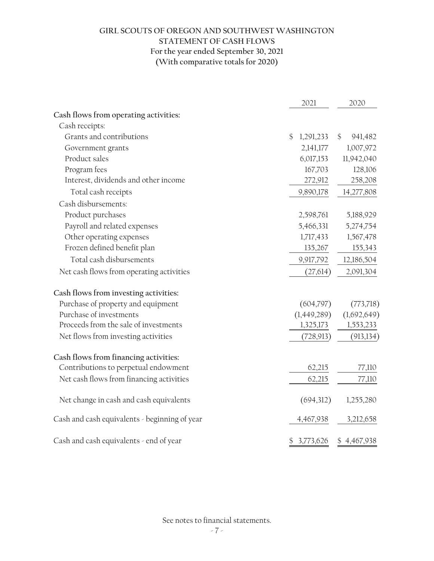# **GIRL SCOUTS OF OREGON AND SOUTHWEST WASHINGTON STATEMENT OF CASH FLOWS For the year ended September 30, 2021 (With comparative totals for 2020)**

|                                               | 2021                       | 2020          |
|-----------------------------------------------|----------------------------|---------------|
| Cash flows from operating activities:         |                            |               |
| Cash receipts:                                |                            |               |
| Grants and contributions                      | $\mathcal{S}$<br>1,291,233 | \$<br>941,482 |
| Government grants                             | 2,141,177                  | 1,007,972     |
| Product sales                                 | 6,017,153                  | 11,942,040    |
| Program fees                                  | 167,703                    | 128,106       |
| Interest, dividends and other income          | 272,912                    | 258,208       |
| Total cash receipts                           | 9,890,178                  | 14,277,808    |
| Cash disbursements:                           |                            |               |
| Product purchases                             | 2,598,761                  | 5,188,929     |
| Payroll and related expenses                  | 5,466,331                  | 5,274,754     |
| Other operating expenses                      | 1,717,433                  | 1,567,478     |
| Frozen defined benefit plan                   | 135,267                    | 155,343       |
| Total cash disbursements                      | 9,917,792                  | 12,186,504    |
| Net cash flows from operating activities      | (27, 614)                  | 2,091,304     |
| Cash flows from investing activities:         |                            |               |
| Purchase of property and equipment            | (604,797)                  | (773, 718)    |
| Purchase of investments                       | (1,449,289)                | (1,692,649)   |
| Proceeds from the sale of investments         | 1,325,173                  | 1,553,233     |
| Net flows from investing activities           | (728, 913)                 | (913, 134)    |
| Cash flows from financing activities:         |                            |               |
| Contributions to perpetual endowment          | 62,215                     | 77,110        |
| Net cash flows from financing activities      | 62,215                     | 77,110        |
| Net change in cash and cash equivalents       | (694,312)                  | 1,255,280     |
| Cash and cash equivalents - beginning of year | 4,467,938                  | 3,212,658     |
| Cash and cash equivalents - end of year       | 3,773,626<br>\$            | \$4,467,938   |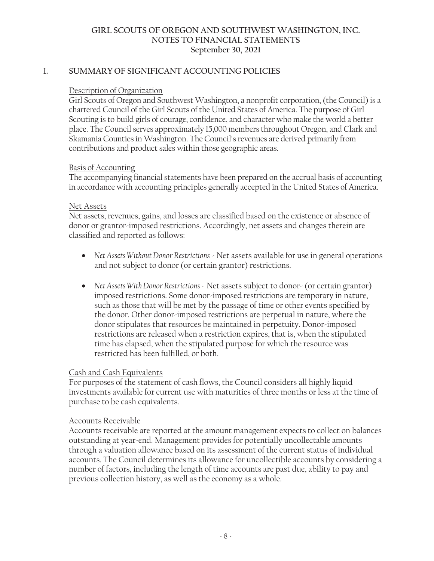#### **1. SUMMARY OF SIGNIFICANT ACCOUNTING POLICIES**

#### Description of Organization

Girl Scouts of Oregon and Southwest Washington, a nonprofit corporation, (the Council) is a chartered Council of the Girl Scouts of the United States of America. The purpose of Girl Scouting is to build girls of courage, confidence, and character who make the world a better place. The Council serves approximately 15,000 members throughout Oregon, and Clark and Skamania Counties in Washington. The Council's revenues are derived primarily from contributions and product sales within those geographic areas.

#### Basis of Accounting

The accompanying financial statements have been prepared on the accrual basis of accounting in accordance with accounting principles generally accepted in the United States of America.

#### Net Assets

Net assets, revenues, gains, and losses are classified based on the existence or absence of donor or grantor-imposed restrictions. Accordingly, net assets and changes therein are classified and reported as follows:

- *Net Assets Without Donor Restrictions* Net assets available for use in general operations and not subject to donor (or certain grantor) restrictions.
- *Net Assets With Donor Restrictions* Net assets subject to donor- (or certain grantor) imposed restrictions. Some donor-imposed restrictions are temporary in nature, such as those that will be met by the passage of time or other events specified by the donor. Other donor-imposed restrictions are perpetual in nature, where the donor stipulates that resources be maintained in perpetuity. Donor-imposed restrictions are released when a restriction expires, that is, when the stipulated time has elapsed, when the stipulated purpose for which the resource was restricted has been fulfilled, or both.

#### Cash and Cash Equivalents

For purposes of the statement of cash flows, the Council considers all highly liquid investments available for current use with maturities of three months or less at the time of purchase to be cash equivalents.

#### Accounts Receivable

Accounts receivable are reported at the amount management expects to collect on balances outstanding at year-end. Management provides for potentially uncollectable amounts through a valuation allowance based on its assessment of the current status of individual accounts. The Council determines its allowance for uncollectible accounts by considering a number of factors, including the length of time accounts are past due, ability to pay and previous collection history, as well as the economy as a whole.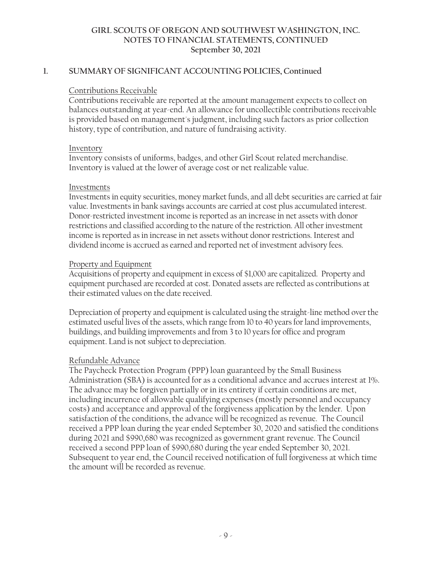#### **1. SUMMARY OF SIGNIFICANT ACCOUNTING POLICIES, Continued**

#### Contributions Receivable

Contributions receivable are reported at the amount management expects to collect on balances outstanding at year-end. An allowance for uncollectible contributions receivable is provided based on management's judgment, including such factors as prior collection history, type of contribution, and nature of fundraising activity.

#### Inventory

Inventory consists of uniforms, badges, and other Girl Scout related merchandise. Inventory is valued at the lower of average cost or net realizable value.

#### Investments

Investments in equity securities, money market funds, and all debt securities are carried at fair value. Investments in bank savings accounts are carried at cost plus accumulated interest. Donor-restricted investment income is reported as an increase in net assets with donor restrictions and classified according to the nature of the restriction. All other investment income is reported as in increase in net assets without donor restrictions. Interest and dividend income is accrued as earned and reported net of investment advisory fees.

### Property and Equipment

Acquisitions of property and equipment in excess of \$1,000 are capitalized. Property and equipment purchased are recorded at cost. Donated assets are reflected as contributions at their estimated values on the date received.

Depreciation of property and equipment is calculated using the straight-line method over the estimated useful lives of the assets, which range from 10 to 40 years for land improvements, buildings, and building improvements and from 3 to 10 years for office and program equipment. Land is not subject to depreciation.

### Refundable Advance

The Paycheck Protection Program (PPP) loan guaranteed by the Small Business Administration (SBA) is accounted for as a conditional advance and accrues interest at 1%. The advance may be forgiven partially or in its entirety if certain conditions are met, including incurrence of allowable qualifying expenses (mostly personnel and occupancy costs) and acceptance and approval of the forgiveness application by the lender. Upon satisfaction of the conditions, the advance will be recognized as revenue. The Council received a PPP loan during the year ended September 30, 2020 and satisfied the conditions during 2021 and \$990,680 was recognized as government grant revenue. The Council received a second PPP loan of \$990,680 during the year ended September 30, 2021. Subsequent to year end, the Council received notification of full forgiveness at which time the amount will be recorded as revenue.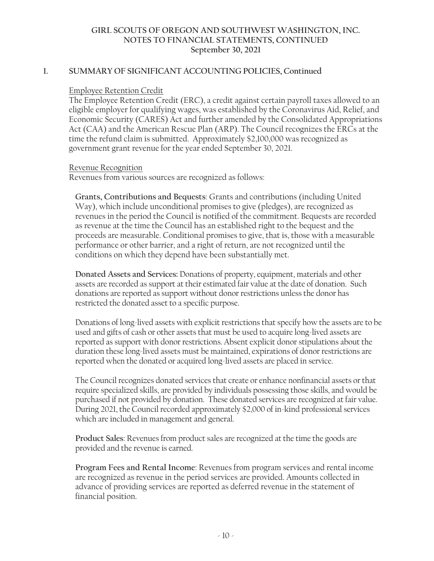#### **1. SUMMARY OF SIGNIFICANT ACCOUNTING POLICIES, Continued**

#### Employee Retention Credit

The Employee Retention Credit (ERC), a credit against certain payroll taxes allowed to an eligible employer for qualifying wages, was established by the Coronavirus Aid, Relief, and Economic Security (CARES) Act and further amended by the Consolidated Appropriations Act (CAA) and the American Rescue Plan (ARP). The Council recognizes the ERCs at the time the refund claim is submitted. Approximately \$2,100,000 was recognized as government grant revenue for the year ended September 30, 2021.

#### Revenue Recognition

Revenues from various sources are recognized as follows:

**Grants, Contributions and Bequests**: Grants and contributions (including United Way), which include unconditional promises to give (pledges), are recognized as revenues in the period the Council is notified of the commitment. Bequests are recorded as revenue at the time the Council has an established right to the bequest and the proceeds are measurable. Conditional promises to give, that is, those with a measurable performance or other barrier, and a right of return, are not recognized until the conditions on which they depend have been substantially met.

**Donated Assets and Services:** Donations of property, equipment, materials and other assets are recorded as support at their estimated fair value at the date of donation. Such donations are reported as support without donor restrictions unless the donor has restricted the donated asset to a specific purpose.

Donations of long-lived assets with explicit restrictions that specify how the assets are to be used and gifts of cash or other assets that must be used to acquire long-lived assets are reported as support with donor restrictions. Absent explicit donor stipulations about the duration these long-lived assets must be maintained, expirations of donor restrictions are reported when the donated or acquired long-lived assets are placed in service.

The Council recognizes donated services that create or enhance nonfinancial assets or that require specialized skills, are provided by individuals possessing those skills, and would be purchased if not provided by donation. These donated services are recognized at fair value. During 2021, the Council recorded approximately \$2,000 of in-kind professional services which are included in management and general.

**Product Sales**: Revenues from product sales are recognized at the time the goods are provided and the revenue is earned.

**Program Fees and Rental Income**: Revenues from program services and rental income are recognized as revenue in the period services are provided. Amounts collected in advance of providing services are reported as deferred revenue in the statement of financial position.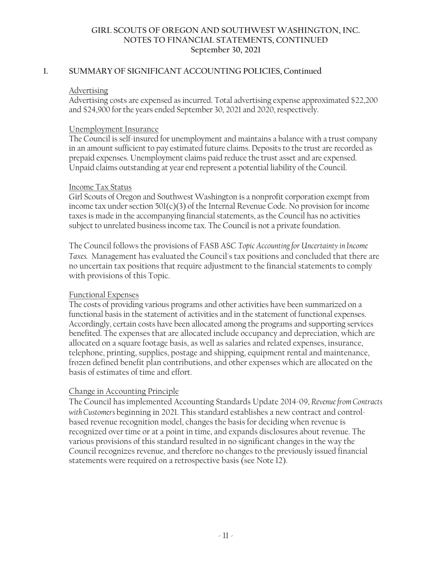#### **1. SUMMARY OF SIGNIFICANT ACCOUNTING POLICIES, Continued**

#### Advertising

Advertising costs are expensed as incurred. Total advertising expense approximated \$22,200 and \$24,900 for the years ended September 30, 2021 and 2020, respectively.

#### Unemployment Insurance

The Council is self-insured for unemployment and maintains a balance with a trust company in an amount sufficient to pay estimated future claims. Deposits to the trust are recorded as prepaid expenses. Unemployment claims paid reduce the trust asset and are expensed. Unpaid claims outstanding at year end represent a potential liability of the Council.

#### Income Tax Status

Girl Scouts of Oregon and Southwest Washington is a nonprofit corporation exempt from income tax under section  $501(c)(3)$  of the Internal Revenue Code. No provision for income taxes is made in the accompanying financial statements, as the Council has no activities subject to unrelated business income tax. The Council is not a private foundation.

The Council follows the provisions of FASB ASC *Topic Accounting for Uncertainty in Income Taxes.* Management has evaluated the Council's tax positions and concluded that there are no uncertain tax positions that require adjustment to the financial statements to comply with provisions of this Topic.

### Functional Expenses

The costs of providing various programs and other activities have been summarized on a functional basis in the statement of activities and in the statement of functional expenses. Accordingly, certain costs have been allocated among the programs and supporting services benefited. The expenses that are allocated include occupancy and depreciation, which are allocated on a square footage basis, as well as salaries and related expenses, insurance, telephone, printing, supplies, postage and shipping, equipment rental and maintenance, frozen defined benefit plan contributions, and other expenses which are allocated on the basis of estimates of time and effort.

### Change in Accounting Principle

The Council has implemented Accounting Standards Update 2014-09, *Revenue from Contracts with Customers* beginning in 2021. This standard establishes a new contract and controlbased revenue recognition model, changes the basis for deciding when revenue is recognized over time or at a point in time, and expands disclosures about revenue. The various provisions of this standard resulted in no significant changes in the way the Council recognizes revenue, and therefore no changes to the previously issued financial statements were required on a retrospective basis (see Note 12).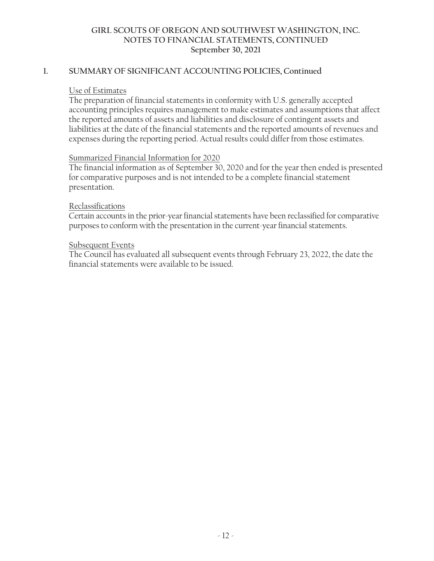#### **1. SUMMARY OF SIGNIFICANT ACCOUNTING POLICIES, Continued**

#### Use of Estimates

The preparation of financial statements in conformity with U.S. generally accepted accounting principles requires management to make estimates and assumptions that affect the reported amounts of assets and liabilities and disclosure of contingent assets and liabilities at the date of the financial statements and the reported amounts of revenues and expenses during the reporting period. Actual results could differ from those estimates.

#### Summarized Financial Information for 2020

The financial information as of September 30, 2020 and for the year then ended is presented for comparative purposes and is not intended to be a complete financial statement presentation.

#### Reclassifications

Certain accounts in the prior-year financial statements have been reclassified for comparative purposes to conform with the presentation in the current-year financial statements.

#### Subsequent Events

The Council has evaluated all subsequent events through February 23, 2022, the date the financial statements were available to be issued.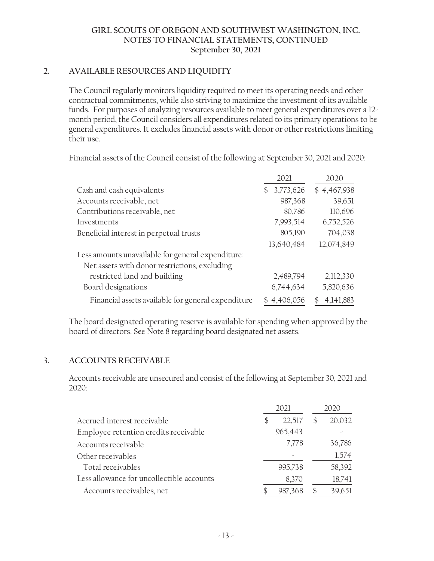# **2. AVAILABLE RESOURCES AND LIQUIDITY**

The Council regularly monitors liquidity required to meet its operating needs and other contractual commitments, while also striving to maximize the investment of its available funds. For purposes of analyzing resources available to meet general expenditures over a 12 month period, the Council considers all expenditures related to its primary operations to be general expenditures. It excludes financial assets with donor or other restrictions limiting their use.

Financial assets of the Council consist of the following at September 30, 2021 and 2020:

|                                                    | 2021            | 2020        |
|----------------------------------------------------|-----------------|-------------|
| Cash and cash equivalents                          | 3,773,626<br>S  | \$4,467,938 |
| Accounts receivable, net                           | 987,368         | 39,651      |
| Contributions receivable, net                      | 80,786          | 110,696     |
| Investments                                        | 7,993,514       | 6,752,526   |
| Beneficial interest in perpetual trusts            | 805,190         | 704,038     |
|                                                    | 13,640,484      | 12,074,849  |
| Less amounts unavailable for general expenditure:  |                 |             |
| Net assets with donor restrictions, excluding      |                 |             |
| restricted land and building                       | 2,489,794       | 2,112,330   |
| Board designations                                 | 6,744,634       | 5,820,636   |
| Financial assets available for general expenditure | 4,406,056<br>S. | 4,141,883   |

The board designated operating reserve is available for spending when approved by the board of directors. See Note 8 regarding board designated net assets.

# **3. ACCOUNTS RECEIVABLE**

Accounts receivable are unsecured and consist of the following at September 30, 2021 and 2020:

|                                           |  | 2021    | 2020   |
|-------------------------------------------|--|---------|--------|
| Accrued interest receivable               |  | 22,517  | 20,032 |
| Employee retention credits receivable     |  | 965,443 |        |
| Accounts receivable                       |  | 7,778   | 36,786 |
| Other receivables                         |  | ╱       | 1,574  |
| Total receivables                         |  | 995,738 | 58,392 |
| Less allowance for uncollectible accounts |  | 8,370   | 18,741 |
| Accounts receivables, net                 |  | 987,368 | 39,651 |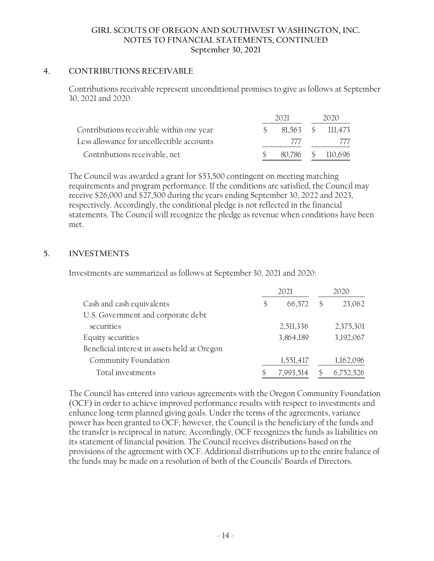#### **4. CONTRIBUTIONS RECEIVABLE**

Contributions receivable represent unconditional promises to give as follows at September 30, 2021 and 2020:

|                                           | 2021 |      |  | 2020              |  |  |
|-------------------------------------------|------|------|--|-------------------|--|--|
| Contributions receivable within one year  |      |      |  | 81,563 \$ 111,473 |  |  |
| Less allowance for uncollectible accounts |      | -777 |  |                   |  |  |
| Contributions receivable, net             |      |      |  | 80,786 \$ 110,696 |  |  |

The Council was awarded a grant for \$53,500 contingent on meeting matching requirements and program performance. If the conditions are satisfied, the Council may receive \$26,000 and \$27,500 during the years ending September 30, 2022 and 2023, respectively. Accordingly, the conditional pledge is not reflected in the financial statements. The Council will recognize the pledge as revenue when conditions have been met.

#### **5. INVESTMENTS**

Investments are summarized as follows at September 30, 2021 and 2020:

|                                              |    | 2021      | 2020 |           |  |
|----------------------------------------------|----|-----------|------|-----------|--|
| Cash and cash equivalents                    | \$ | 66,572    |      | 23,062    |  |
| U.S. Government and corporate debt           |    |           |      |           |  |
| securities                                   |    | 2,511,336 |      | 2,375,301 |  |
| Equity securities                            |    | 3,864,189 |      | 3,192,067 |  |
| Beneficial interest in assets held at Oregon |    |           |      |           |  |
| Community Foundation                         |    | 1,551,417 |      | 1,162,096 |  |
| Total investments                            |    | 7,993,514 |      | 6,752,526 |  |

The Council has entered into various agreements with the Oregon Community Foundation (OCF) in order to achieve improved performance results with respect to investments and enhance long-term planned giving goals. Under the terms of the agreements, variance power has been granted to OCF; however, the Council is the beneficiary of the funds and the transfer is reciprocal in nature. Accordingly, OCF recognizes the funds as liabilities on its statement of financial position. The Council receives distributions based on the provisions of the agreement with OCF. Additional distributions up to the entire balance of the funds may be made on a resolution of both of the Councils' Boards of Directors.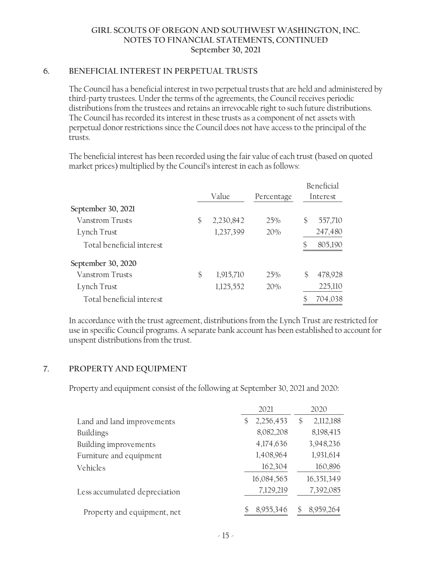#### **6. BENEFICIAL INTEREST IN PERPETUAL TRUSTS**

The Council has a beneficial interest in two perpetual trusts that are held and administered by third-party trustees. Under the terms of the agreements, the Council receives periodic distributions from the trustees and retains an irrevocable right to such future distributions. The Council has recorded its interest in these trusts as a component of net assets with perpetual donor restrictions since the Council does not have access to the principal of the trusts.

The beneficial interest has been recorded using the fair value of each trust (based on quoted market prices) multiplied by the Council's interest in each as follows:

|                           |       |           |            | Beneficial    |
|---------------------------|-------|-----------|------------|---------------|
|                           | Value |           | Percentage | Interest      |
| September 30, 2021        |       |           |            |               |
| <b>Vanstrom Trusts</b>    | \$    | 2,230,842 | 25%        | \$<br>557,710 |
| Lynch Trust               |       | 1,237,399 | 20%        | 247,480       |
| Total beneficial interest |       |           |            | 805,190       |
| September 30, 2020        |       |           |            |               |
| <b>Vanstrom Trusts</b>    | \$    | 1,915,710 | 25%        | \$<br>478,928 |
| Lynch Trust               |       | 1,125,552 | 20%        | 225,110       |
| Total beneficial interest |       |           |            | 704,038       |

In accordance with the trust agreement, distributions from the Lynch Trust are restricted for use in specific Council programs. A separate bank account has been established to account for unspent distributions from the trust.

### **7. PROPERTY AND EQUIPMENT**

Property and equipment consist of the following at September 30, 2021 and 2020:

|                               | 2021             | 2020            |
|-------------------------------|------------------|-----------------|
| Land and land improvements    | 2,256,453<br>\$. | 2,112,188<br>\$ |
| <b>Buildings</b>              | 8,082,208        | 8,198,415       |
| Building improvements         | 4,174,636        | 3,948,236       |
| Furniture and equipment       | 1,408,964        | 1,931,614       |
| Vehicles                      | 162,304          | 160,896         |
|                               | 16,084,565       | 16,351,349      |
| Less accumulated depreciation | 7,129,219        | 7,392,085       |
| Property and equipment, net   | 8,955,346        | 8,959,264       |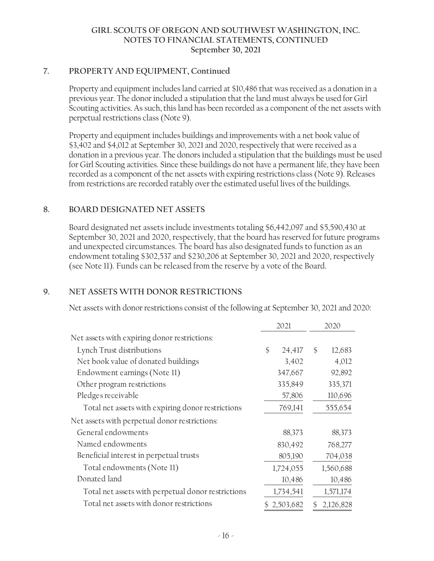### **7. PROPERTY AND EQUIPMENT, Continued**

Property and equipment includes land carried at \$10,486 that was received as a donation in a previous year. The donor included a stipulation that the land must always be used for Girl Scouting activities. As such, this land has been recorded as a component of the net assets with perpetual restrictions class (Note 9).

Property and equipment includes buildings and improvements with a net book value of \$3,402 and \$4,012 at September 30, 2021 and 2020, respectively that were received as a donation in a previous year. The donors included a stipulation that the buildings must be used for Girl Scouting activities. Since these buildings do not have a permanent life, they have been recorded as a component of the net assets with expiring restrictions class (Note 9). Releases from restrictions are recorded ratably over the estimated useful lives of the buildings.

#### **8. BOARD DESIGNATED NET ASSETS**

Board designated net assets include investments totaling \$6,442,097 and \$5,590,430 at September 30, 2021 and 2020, respectively, that the board has reserved for future programs and unexpected circumstances. The board has also designated funds to function as an endowment totaling \$302,537 and \$230,206 at September 30, 2021 and 2020, respectively (see Note 11). Funds can be released from the reserve by a vote of the Board.

### **9. NET ASSETS WITH DONOR RESTRICTIONS**

Net assets with donor restrictions consist of the following at September 30, 2021 and 2020:

|                                                    | 2021         |               | 2020      |  |
|----------------------------------------------------|--------------|---------------|-----------|--|
| Net assets with expiring donor restrictions:       |              |               |           |  |
| Lynch Trust distributions                          | \$<br>24,417 | \$            | 12,683    |  |
| Net book value of donated buildings                | 3,402        |               | 4,012     |  |
| Endowment earnings (Note 11)                       | 347,667      |               | 92,892    |  |
| Other program restrictions                         | 335,849      |               | 335,371   |  |
| Pledges receivable                                 | 57,806       |               | 110,696   |  |
| Total net assets with expiring donor restrictions  | 769,141      |               | 555,654   |  |
| Net assets with perpetual donor restrictions:      |              |               |           |  |
| General endowments                                 | 88,373       |               | 88,373    |  |
| Named endowments                                   | 830,492      |               | 768,277   |  |
| Beneficial interest in perpetual trusts            | 805,190      |               | 704,038   |  |
| Total endowments (Note 11)                         | 1,724,055    |               | 1,560,688 |  |
| Donated land                                       | 10,486       |               | 10,486    |  |
| Total net assets with perpetual donor restrictions | 1,734,541    |               | 1,571,174 |  |
| Total net assets with donor restrictions           | \$2,503,682  | $\mathcal{S}$ | 2,126,828 |  |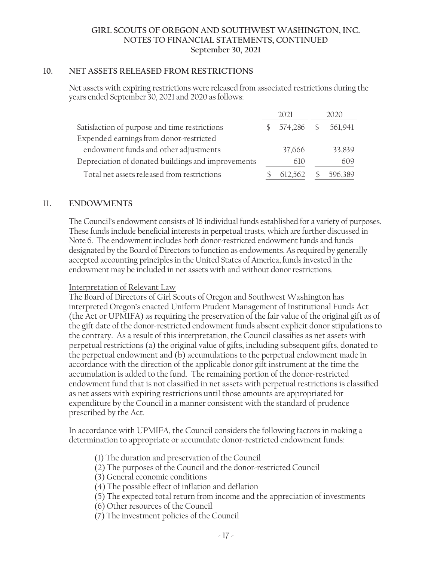#### **10. NET ASSETS RELEASED FROM RESTRICTIONS**

Net assets with expiring restrictions were released from associated restrictions during the years ended September 30, 2021 and 2020 as follows:

|                                                    | 2021    | 2020                  |
|----------------------------------------------------|---------|-----------------------|
| Satisfaction of purpose and time restrictions      |         | $$574,286$ $$561,941$ |
| Expended earnings from donor-restricted            |         |                       |
| endowment funds and other adjustments              | 37,666  | 33,839                |
| Depreciation of donated buildings and improvements | 610     | 609                   |
| Total net assets released from restrictions        | 612,562 | 596,389               |

#### **11. ENDOWMENTS**

The Council's endowment consists of 16 individual funds established for a variety of purposes. These funds include beneficial interests in perpetual trusts, which are further discussed in Note 6. The endowment includes both donor-restricted endowment funds and funds designated by the Board of Directors to function as endowments. As required by generally accepted accounting principles in the United States of America, funds invested in the endowment may be included in net assets with and without donor restrictions.

#### Interpretation of Relevant Law

The Board of Directors of Girl Scouts of Oregon and Southwest Washington has interpreted Oregon's enacted Uniform Prudent Management of Institutional Funds Act (the Act or UPMIFA) as requiring the preservation of the fair value of the original gift as of the gift date of the donor-restricted endowment funds absent explicit donor stipulations to the contrary. As a result of this interpretation, the Council classifies as net assets with perpetual restrictions (a) the original value of gifts, including subsequent gifts, donated to the perpetual endowment and (b) accumulations to the perpetual endowment made in accordance with the direction of the applicable donor gift instrument at the time the accumulation is added to the fund. The remaining portion of the donor-restricted endowment fund that is not classified in net assets with perpetual restrictions is classified as net assets with expiring restrictions until those amounts are appropriated for expenditure by the Council in a manner consistent with the standard of prudence prescribed by the Act.

In accordance with UPMIFA, the Council considers the following factors in making a determination to appropriate or accumulate donor-restricted endowment funds:

- (1) The duration and preservation of the Council
- (2) The purposes of the Council and the donor-restricted Council
- (3) General economic conditions
- (4) The possible effect of inflation and deflation
- (5) The expected total return from income and the appreciation of investments
- (6) Other resources of the Council
- (7) The investment policies of the Council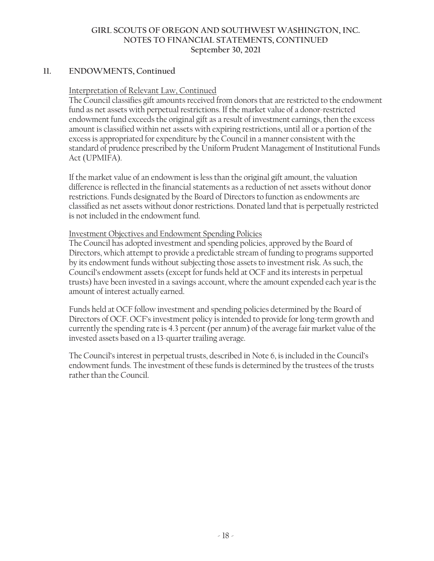### **11. ENDOWMENTS, Continued**

# Interpretation of Relevant Law, Continued

The Council classifies gift amounts received from donors that are restricted to the endowment fund as net assets with perpetual restrictions. If the market value of a donor-restricted endowment fund exceeds the original gift as a result of investment earnings, then the excess amount is classified within net assets with expiring restrictions, until all or a portion of the excess is appropriated for expenditure by the Council in a manner consistent with the standard of prudence prescribed by the Uniform Prudent Management of Institutional Funds Act (UPMIFA).

If the market value of an endowment is less than the original gift amount, the valuation difference is reflected in the financial statements as a reduction of net assets without donor restrictions. Funds designated by the Board of Directors to function as endowments are classified as net assets without donor restrictions. Donated land that is perpetually restricted is not included in the endowment fund.

### Investment Objectives and Endowment Spending Policies

The Council has adopted investment and spending policies, approved by the Board of Directors, which attempt to provide a predictable stream of funding to programs supported by its endowment funds without subjecting those assets to investment risk. As such, the Council's endowment assets (except for funds held at OCF and its interests in perpetual trusts) have been invested in a savings account, where the amount expended each year is the amount of interest actually earned.

Funds held at OCF follow investment and spending policies determined by the Board of Directors of OCF. OCF's investment policy is intended to provide for long-term growth and currently the spending rate is 4.3 percent (per annum) of the average fair market value of the invested assets based on a 13-quarter trailing average.

The Council's interest in perpetual trusts, described in Note 6, is included in the Council's endowment funds. The investment of these funds is determined by the trustees of the trusts rather than the Council.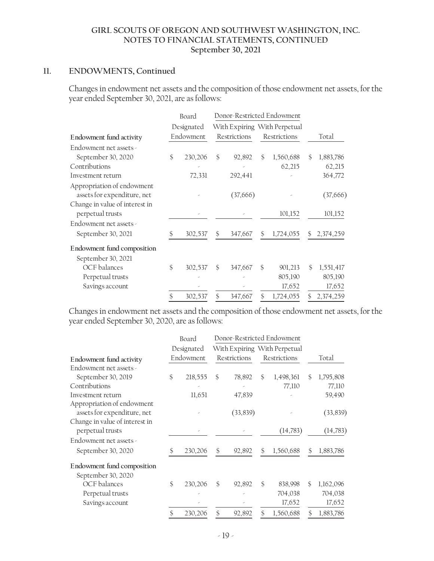### **11. ENDOWMENTS, Continued**

Changes in endowment net assets and the composition of those endowment net assets, for the year ended September 30, 2021, are as follows:

|                                                           |               | Board                   |               | Donor-Restricted Endowment |               |                              |    |           |
|-----------------------------------------------------------|---------------|-------------------------|---------------|----------------------------|---------------|------------------------------|----|-----------|
|                                                           |               | Designated<br>Endowment |               |                            |               | With Expiring With Perpetual |    |           |
| Endowment fund activity                                   |               |                         |               | Restrictions               |               | Restrictions                 |    | Total     |
| Endowment net assets -                                    |               |                         |               |                            |               |                              |    |           |
| September 30, 2020                                        | \$            | 230,206                 | \$            | 92,892                     | \$            | 1,560,688                    | \$ | 1,883,786 |
| Contributions                                             |               |                         |               |                            |               | 62,215                       |    | 62,215    |
| Investment return                                         |               | 72,331                  |               | 292,441                    |               |                              |    | 364,772   |
| Appropriation of endowment<br>assets for expenditure, net |               |                         |               | (37,666)                   |               |                              |    | (37,666)  |
| Change in value of interest in<br>perpetual trusts        |               |                         |               |                            |               | 101,152                      |    | 101,152   |
| Endowment net assets -                                    |               |                         |               |                            |               |                              |    |           |
| September 30, 2021                                        |               | 302,537                 | \$            | 347,667                    | \$            | 1,724,055                    | \$ | 2,374,259 |
| Endowment fund composition                                |               |                         |               |                            |               |                              |    |           |
| September 30, 2021                                        |               |                         |               |                            |               |                              |    |           |
| OCF balances                                              | \$            | 302,537                 | $\mathcal{S}$ | 347,667                    | $\frac{1}{2}$ | 901,213                      | S  | 1,551,417 |
| Perpetual trusts                                          |               |                         |               |                            |               | 805,190                      |    | 805,190   |
| Savings account                                           |               |                         |               |                            |               | 17,652                       |    | 17,652    |
|                                                           | $\mathsf{\$}$ | 302,537                 | $\mathcal{S}$ | 347,667                    | $\$\$         | 1,724,055                    | \$ | 2,374,259 |

Changes in endowment net assets and the composition of those endowment net assets, for the year ended September 30, 2020, are as follows:

|                                |            | Board     |               | Donor-Restricted Endowment |                              |              |     |           |  |
|--------------------------------|------------|-----------|---------------|----------------------------|------------------------------|--------------|-----|-----------|--|
|                                | Designated |           |               |                            | With Expiring With Perpetual |              |     |           |  |
| Endowment fund activity        |            | Endowment |               | Restrictions               |                              | Restrictions |     | Total     |  |
| Endowment net assets -         |            |           |               |                            |                              |              |     |           |  |
| September 30, 2019             | \$         | 218,555   | $\mathcal{S}$ | 78,892                     | \$                           | 1,498,361    | \$. | 1,795,808 |  |
| Contributions                  |            |           |               |                            |                              | 77,110       |     | 77,110    |  |
| Investment return              |            | 11,651    |               | 47,839                     |                              |              |     | 59,490    |  |
| Appropriation of endowment     |            |           |               |                            |                              |              |     |           |  |
| assets for expenditure, net    |            |           |               | (33, 839)                  |                              |              |     | (33, 839) |  |
| Change in value of interest in |            |           |               |                            |                              |              |     |           |  |
| perpetual trusts               |            |           |               |                            |                              | (14, 783)    |     | (14, 783) |  |
| Endowment net assets -         |            |           |               |                            |                              |              |     |           |  |
| September 30, 2020             |            | 230,206   | \$            | 92,892                     | \$                           | 1,560,688    | \$  | 1,883,786 |  |
| Endowment fund composition     |            |           |               |                            |                              |              |     |           |  |
| September 30, 2020             |            |           |               |                            |                              |              |     |           |  |
| OCF balances                   | \$         | 230,206   | \$            | 92,892                     | \$                           | 838,998      | \$  | 1,162,096 |  |
| Perpetual trusts               |            |           |               |                            |                              | 704,038      |     | 704,038   |  |
| Savings account                |            |           |               |                            |                              | 17,652       |     | 17,652    |  |
|                                | \$         | 230,206   | \$            | 92,892                     | \$                           | 1,560,688    | \$  | 1,883,786 |  |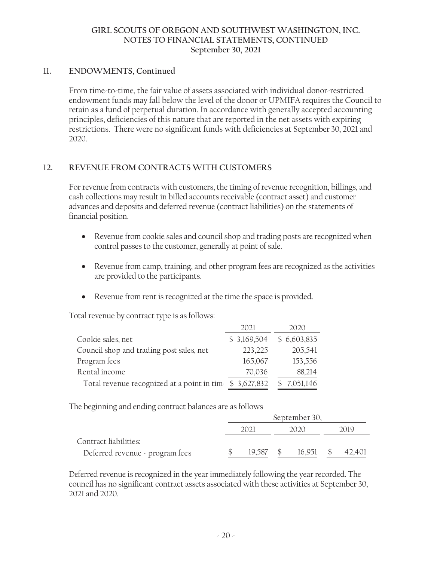#### **11. ENDOWMENTS, Continued**

From time-to-time, the fair value of assets associated with individual donor-restricted endowment funds may fall below the level of the donor or UPMIFA requires the Council to retain as a fund of perpetual duration. In accordance with generally accepted accounting principles, deficiencies of this nature that are reported in the net assets with expiring restrictions. There were no significant funds with deficiencies at September 30, 2021 and 2020.

### **12. REVENUE FROM CONTRACTS WITH CUSTOMERS**

For revenue from contracts with customers, the timing of revenue recognition, billings, and cash collections may result in billed accounts receivable (contract asset) and customer advances and deposits and deferred revenue (contract liabilities) on the statements of financial position.

- Revenue from cookie sales and council shop and trading posts are recognized when control passes to the customer, generally at point of sale.
- Revenue from camp, training, and other program fees are recognized as the activities are provided to the participants.
- Revenue from rent is recognized at the time the space is provided.

Total revenue by contract type is as follows:

|                                             | 2021        | 2020        |
|---------------------------------------------|-------------|-------------|
| Cookie sales, net                           | \$3,169,504 | \$6,603,835 |
| Council shop and trading post sales, net    | 223,225     | 205,541     |
| Program fees                                | 165,067     | 153,556     |
| Rental income                               | 70,036      | 88,214      |
| Total revenue recognized at a point in tim- | \$3,627,832 | 7,051,146   |

The beginning and ending contract balances are as follows

|                                 | September 30, |        |  |        |              |        |  |  |  |
|---------------------------------|---------------|--------|--|--------|--------------|--------|--|--|--|
|                                 |               |        |  |        | 2019         |        |  |  |  |
| Contract liabilities:           |               |        |  |        |              |        |  |  |  |
| Deferred revenue - program fees |               | 19.587 |  | 16.951 | $\mathbb{S}$ | 42.401 |  |  |  |

Deferred revenue is recognized in the year immediately following the year recorded. The council has no significant contract assets associated with these activities at September 30, 2021 and 2020.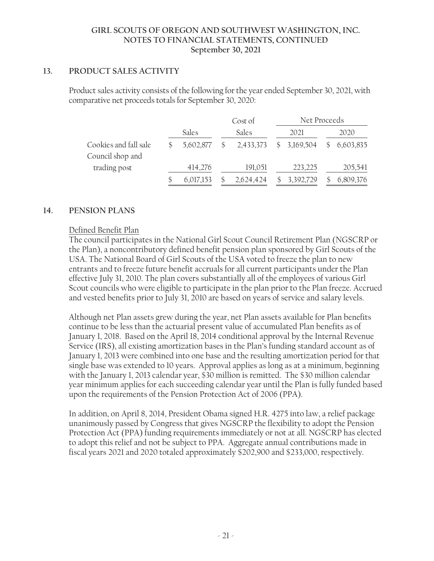#### **13. PRODUCT SALES ACTIVITY**

Product sales activity consists of the following for the year ended September 30, 2021, with comparative net proceeds totals for September 30, 2020:

|                                           |  |           |  | Cost of   | Net Proceeds |             |               |           |  |
|-------------------------------------------|--|-----------|--|-----------|--------------|-------------|---------------|-----------|--|
|                                           |  | Sales     |  | Sales     |              | 2021        |               | 2020      |  |
| Cookies and fall sale<br>Council shop and |  | 5,602,877 |  | 2,433,373 |              | \$3,169,504 | $\mathcal{S}$ | 6,603,835 |  |
| trading post                              |  | 414,276   |  | 191,051   |              | 223,225     |               | 205,541   |  |
|                                           |  | 6,017,153 |  | 2,624,424 |              | 3,392,729   |               | 6,809,376 |  |

#### **14. PENSION PLANS**

### Defined Benefit Plan

The council participates in the National Girl Scout Council Retirement Plan (NGSCRP or the Plan), a noncontributory defined benefit pension plan sponsored by Girl Scouts of the USA. The National Board of Girl Scouts of the USA voted to freeze the plan to new entrants and to freeze future benefit accruals for all current participants under the Plan effective July 31, 2010. The plan covers substantially all of the employees of various Girl Scout councils who were eligible to participate in the plan prior to the Plan freeze. Accrued and vested benefits prior to July 31, 2010 are based on years of service and salary levels.

Although net Plan assets grew during the year, net Plan assets available for Plan benefits continue to be less than the actuarial present value of accumulated Plan benefits as of January 1, 2018. Based on the April 18, 2014 conditional approval by the Internal Revenue Service (IRS), all existing amortization bases in the Plan's funding standard account as of January 1, 2013 were combined into one base and the resulting amortization period for that single base was extended to 10 years. Approval applies as long as at a minimum, beginning with the January 1, 2013 calendar year, \$30 million is remitted. The \$30 million calendar year minimum applies for each succeeding calendar year until the Plan is fully funded based upon the requirements of the Pension Protection Act of 2006 (PPA).

In addition, on April 8, 2014, President Obama signed H.R. 4275 into law, a relief package unanimously passed by Congress that gives NGSCRP the flexibility to adopt the Pension Protection Act (PPA) funding requirements immediately or not at all. NGSCRP has elected to adopt this relief and not be subject to PPA. Aggregate annual contributions made in fiscal years 2021 and 2020 totaled approximately \$202,900 and \$233,000, respectively.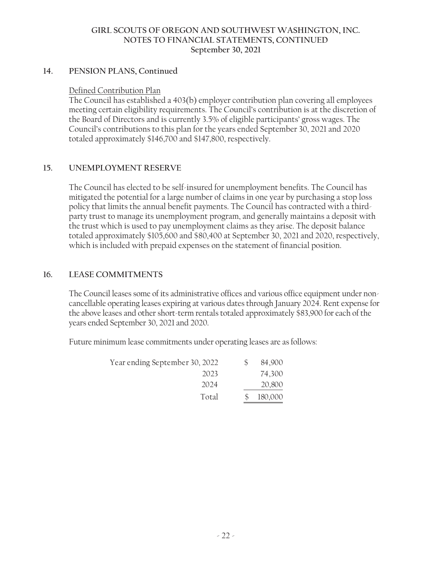### **14. PENSION PLANS, Continued**

Defined Contribution Plan

The Council has established a 403(b) employer contribution plan covering all employees meeting certain eligibility requirements. The Council's contribution is at the discretion of the Board of Directors and is currently 3.5% of eligible participants' gross wages. The Council's contributions to this plan for the years ended September 30, 2021 and 2020 totaled approximately \$146,700 and \$147,800, respectively.

### **15. UNEMPLOYMENT RESERVE**

The Council has elected to be self-insured for unemployment benefits. The Council has mitigated the potential for a large number of claims in one year by purchasing a stop loss policy that limits the annual benefit payments. The Council has contracted with a thirdparty trust to manage its unemployment program, and generally maintains a deposit with the trust which is used to pay unemployment claims as they arise. The deposit balance totaled approximately \$105,600 and \$80,400 at September 30, 2021 and 2020, respectively, which is included with prepaid expenses on the statement of financial position.

### **16. LEASE COMMITMENTS**

The Council leases some of its administrative offices and various office equipment under noncancellable operating leases expiring at various dates through January 2024. Rent expense for the above leases and other short-term rentals totaled approximately \$83,900 for each of the years ended September 30, 2021 and 2020.

Future minimum lease commitments under operating leases are as follows:

| Year ending September 30, 2022 | 84,900  |
|--------------------------------|---------|
| 2023                           | 74,300  |
| 2024                           | 20,800  |
| Total                          | 180,000 |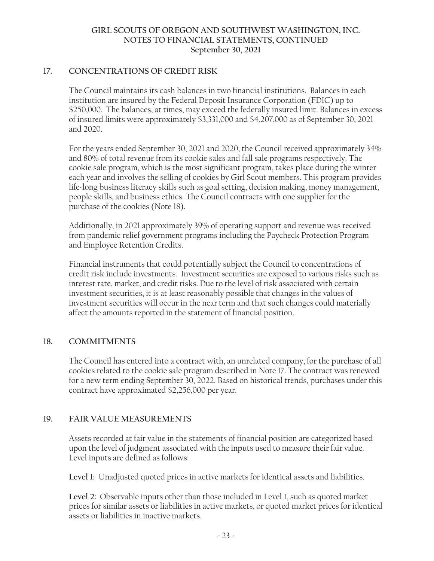#### **17. CONCENTRATIONS OF CREDIT RISK**

The Council maintains its cash balances in two financial institutions. Balances in each institution are insured by the Federal Deposit Insurance Corporation (FDIC) up to \$250,000. The balances, at times, may exceed the federally insured limit. Balances in excess of insured limits were approximately \$3,331,000 and \$4,207,000 as of September 30, 2021 and 2020.

For the years ended September 30, 2021 and 2020, the Council received approximately 34% and 80% of total revenue from its cookie sales and fall sale programs respectively. The cookie sale program, which is the most significant program, takes place during the winter each year and involves the selling of cookies by Girl Scout members. This program provides life-long business literacy skills such as goal setting, decision making, money management, people skills, and business ethics. The Council contracts with one supplier for the purchase of the cookies (Note 18).

Additionally, in 2021 approximately 39% of operating support and revenue was received from pandemic relief government programs including the Paycheck Protection Program and Employee Retention Credits.

Financial instruments that could potentially subject the Council to concentrations of credit risk include investments. Investment securities are exposed to various risks such as interest rate, market, and credit risks. Due to the level of risk associated with certain investment securities, it is at least reasonably possible that changes in the values of investment securities will occur in the near term and that such changes could materially affect the amounts reported in the statement of financial position.

### **18. COMMITMENTS**

The Council has entered into a contract with, an unrelated company, for the purchase of all cookies related to the cookie sale program described in Note 17. The contract was renewed for a new term ending September 30, 2022. Based on historical trends, purchases under this contract have approximated \$2,256,000 per year.

### **19. FAIR VALUE MEASUREMENTS**

Assets recorded at fair value in the statements of financial position are categorized based upon the level of judgment associated with the inputs used to measure their fair value. Level inputs are defined as follows:

**Level 1:** Unadjusted quoted prices in active markets for identical assets and liabilities.

**Level 2:** Observable inputs other than those included in Level 1, such as quoted market prices for similar assets or liabilities in active markets, or quoted market prices for identical assets or liabilities in inactive markets.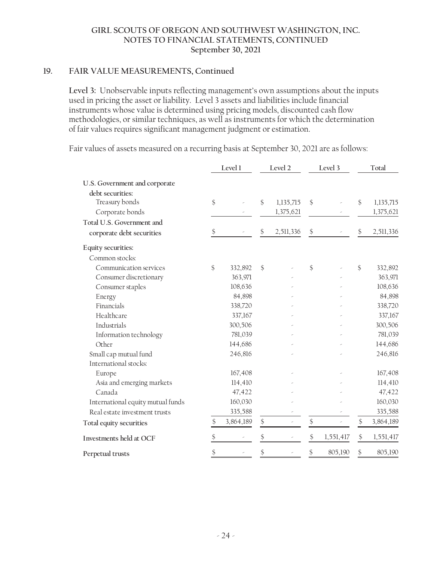# **19. FAIR VALUE MEASUREMENTS, Continued**

**Level 3:** Unobservable inputs reflecting management's own assumptions about the inputs used in pricing the asset or liability. Level 3 assets and liabilities include financial instruments whose value is determined using pricing models, discounted cash flow methodologies, or similar techniques, as well as instruments for which the determination of fair values requires significant management judgment or estimation.

Fair values of assets measured on a recurring basis at September 30, 2021 are as follows:

| Level 1                           |    |           | Level 2       |           | Level 3       | Total     |               |           |
|-----------------------------------|----|-----------|---------------|-----------|---------------|-----------|---------------|-----------|
| U.S. Government and corporate     |    |           |               |           |               |           |               |           |
| debt securities:                  |    |           |               |           |               |           |               |           |
| Treasury bonds                    | \$ |           | \$            | 1,135,715 | \$            |           | \$            | 1,135,715 |
| Corporate bonds                   |    |           |               | 1,375,621 |               |           |               | 1,375,621 |
| Total U.S. Government and         |    |           |               |           |               |           |               |           |
| corporate debt securities         | \$ |           | \$            | 2,511,336 | \$            |           | \$            | 2,511,336 |
| Equity securities:                |    |           |               |           |               |           |               |           |
| Common stocks:                    |    |           |               |           |               |           |               |           |
| Communication services            | \$ | 332,892   | $\mathcal{S}$ |           | \$            |           | \$            | 332,892   |
| Consumer discretionary            |    | 363,971   |               |           |               |           |               | 363,971   |
| Consumer staples                  |    | 108,636   |               |           |               |           |               | 108,636   |
| Energy                            |    | 84,898    |               |           |               |           |               | 84,898    |
| Financials                        |    | 338,720   |               |           |               |           |               | 338,720   |
| Healthcare                        |    | 337,167   |               |           |               |           |               | 337,167   |
| Industrials                       |    | 300,506   |               |           |               |           |               | 300,506   |
| Information technology            |    | 781,039   |               |           |               |           |               | 781,039   |
| Other                             |    | 144,686   |               |           |               |           |               | 144,686   |
| Small cap mutual fund             |    | 246,816   |               |           |               |           |               | 246,816   |
| International stocks:             |    |           |               |           |               |           |               |           |
| Europe                            |    | 167,408   |               |           |               |           |               | 167,408   |
| Asia and emerging markets         |    | 114,410   |               |           |               |           |               | 114,410   |
| Canada                            |    | 47,422    |               |           |               |           |               | 47,422    |
| International equity mutual funds |    | 160,030   |               |           |               |           |               | 160,030   |
| Real estate investment trusts     |    | 335,588   |               |           |               |           |               | 335,588   |
| Total equity securities           | \$ | 3,864,189 | \$            |           | $\frac{1}{2}$ |           | \$            | 3,864,189 |
| Investments held at OCF           | \$ |           | \$            | ł         | $\frac{1}{2}$ | 1,551,417 | $\frac{1}{2}$ | 1,551,417 |
| Perpetual trusts                  | \$ |           | \$            |           | \$            | 805,190   | \$            | 805,190   |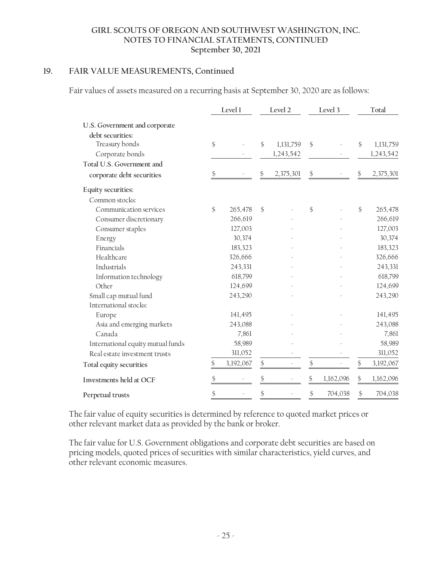#### **19. FAIR VALUE MEASUREMENTS, Continued**

Fair values of assets measured on a recurring basis at September 30, 2020 are as follows:

| Level 1                           |    |           |    | Level 2                  | Level 3         | Total |           |
|-----------------------------------|----|-----------|----|--------------------------|-----------------|-------|-----------|
| U.S. Government and corporate     |    |           |    |                          |                 |       |           |
| debt securities:                  |    |           |    |                          |                 |       |           |
| Treasury bonds                    | \$ |           | \$ | 1,131,759                | \$              | $\$\$ | 1,131,759 |
| Corporate bonds                   |    |           |    | 1,243,542                |                 |       | 1,243,542 |
| Total U.S. Government and         |    |           |    |                          |                 |       |           |
| corporate debt securities         | \$ |           | \$ | 2,375,301                | \$              | \$    | 2,375,301 |
| Equity securities:                |    |           |    |                          |                 |       |           |
| Common stocks:                    |    |           |    |                          |                 |       |           |
| Communication services            | \$ | 265,478   | S  |                          | \$              | \$    | 265,478   |
| Consumer discretionary            |    | 266,619   |    |                          |                 |       | 266,619   |
| Consumer staples                  |    | 127,003   |    |                          |                 |       | 127,003   |
| Energy                            |    | 30,374    |    |                          |                 |       | 30,374    |
| Financials                        |    | 183,323   |    |                          |                 |       | 183,323   |
| Healthcare                        |    | 326,666   |    |                          |                 |       | 326,666   |
| Industrials                       |    | 243,331   |    |                          |                 |       | 243,331   |
| Information technology            |    | 618,799   |    |                          |                 |       | 618,799   |
| Other                             |    | 124,699   |    |                          |                 |       | 124,699   |
| Small cap mutual fund             |    | 243,290   |    |                          |                 |       | 243,290   |
| International stocks:             |    |           |    |                          |                 |       |           |
| Europe                            |    | 141,495   |    |                          |                 |       | 141,495   |
| Asia and emerging markets         |    | 243,088   |    |                          |                 |       | 243,088   |
| Canada                            |    | 7,861     |    |                          |                 |       | 7,861     |
| International equity mutual funds |    | 58,989    |    |                          |                 |       | 58,989    |
| Real estate investment trusts     |    | 311,052   |    |                          |                 |       | 311,052   |
| Total equity securities           | \$ | 3,192,067 | \$ |                          | \$              | \$    | 3,192,067 |
| Investments held at OCF           | \$ |           | \$ | $\overline{\phantom{a}}$ | \$<br>1,162,096 | \$    | 1,162,096 |
| Perpetual trusts                  | \$ |           | \$ |                          | \$<br>704,038   | \$    | 704,038   |

The fair value of equity securities is determined by reference to quoted market prices or other relevant market data as provided by the bank or broker.

The fair value for U.S. Government obligations and corporate debt securities are based on pricing models, quoted prices of securities with similar characteristics, yield curves, and other relevant economic measures.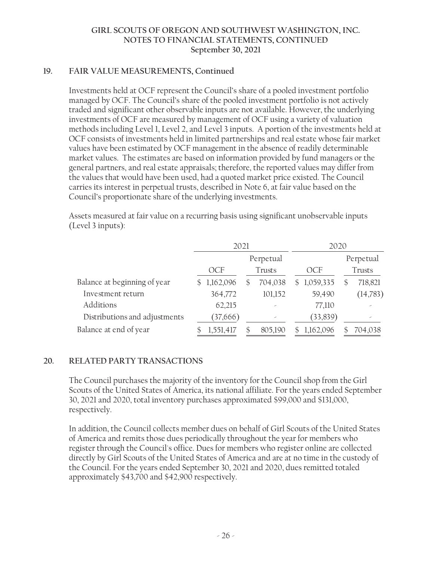# **19. FAIR VALUE MEASUREMENTS, Continued**

Investments held at OCF represent the Council's share of a pooled investment portfolio managed by OCF. The Council's share of the pooled investment portfolio is not actively traded and significant other observable inputs are not available. However, the underlying investments of OCF are measured by management of OCF using a variety of valuation methods including Level 1, Level 2, and Level 3 inputs. A portion of the investments held at OCF consists of investments held in limited partnerships and real estate whose fair market values have been estimated by OCF management in the absence of readily determinable market values. The estimates are based on information provided by fund managers or the general partners, and real estate appraisals; therefore, the reported values may differ from the values that would have been used, had a quoted market price existed. The Council carries its interest in perpetual trusts, described in Note 6, at fair value based on the Council's proportionate share of the underlying investments.

Assets measured at fair value on a recurring basis using significant unobservable inputs (Level 3 inputs):

|                               | 2021          |   | 2020                     |             |           |  |           |        |
|-------------------------------|---------------|---|--------------------------|-------------|-----------|--|-----------|--------|
|                               | Perpetual     |   |                          |             |           |  | Perpetual |        |
|                               | Trusts<br>OCF |   | OCF                      |             |           |  |           | Trusts |
| Balance at beginning of year  | 1,162,096     | S | 704,038                  | \$1,059,335 |           |  | 718,821   |        |
| Investment return             | 364,772       |   | 101,152                  |             | 59,490    |  | (14, 783) |        |
| Additions                     | 62,215        |   | $\overline{\phantom{a}}$ |             | 77,110    |  | ╱         |        |
| Distributions and adjustments | (37,666)      |   | $\overline{\phantom{a}}$ |             | (33, 839) |  | ╭         |        |
| Balance at end of year        | 1,551,417     |   | 805,190                  |             | 1,162,096 |  | 704,038   |        |

### **20. RELATED PARTY TRANSACTIONS**

The Council purchases the majority of the inventory for the Council shop from the Girl Scouts of the United States of America, its national affiliate. For the years ended September 30, 2021 and 2020, total inventory purchases approximated \$99,000 and \$131,000, respectively.

In addition, the Council collects member dues on behalf of Girl Scouts of the United States of America and remits those dues periodically throughout the year for members who register through the Council's office. Dues for members who register online are collected directly by Girl Scouts of the United States of America and are at no time in the custody of the Council. For the years ended September 30, 2021 and 2020, dues remitted totaled approximately \$43,700 and \$42,900 respectively.